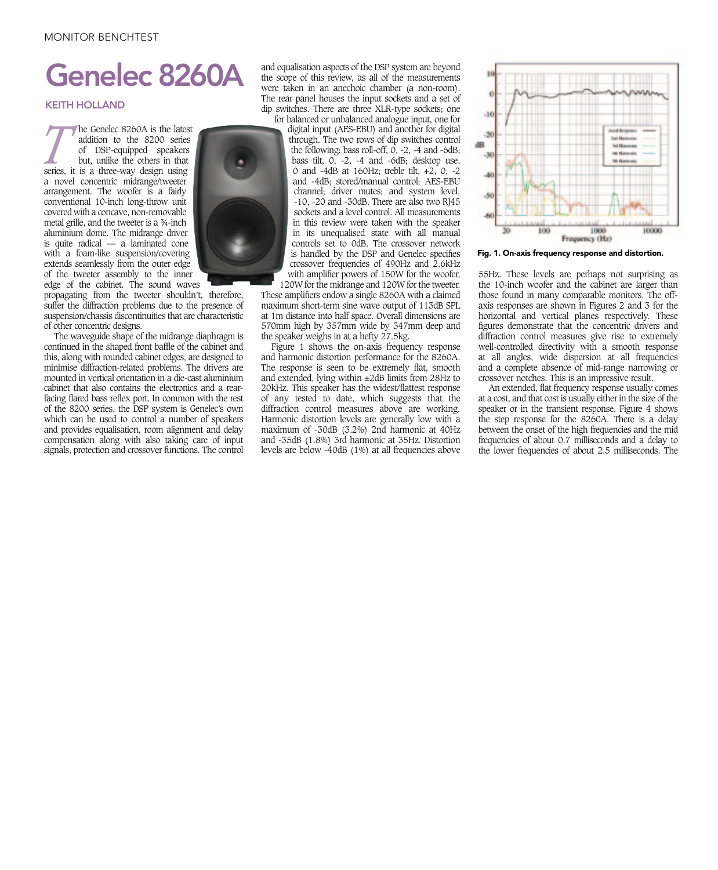## MONITOR BENCHTEST

## Genelec 8260A

## KEITH HOLLAND

**The Genelec 8260A is the latest addition to the 8200 series of DSP-equipped speakers but, unlike the others in that series, it is a three-way design using** addition to the 8200 series of DSP-equipped speakers but, unlike the others in that a novel concentric midrange/tweeter arrangement. The woofer is a fairly conventional 10-inch long-throw unit covered with a concave, non-removable metal grille, and the tweeter is a ¾-inch aluminium dome. The midrange driver is quite radical — a laminated cone with a foam-like suspension/covering extends seamlessly from the outer edge of the tweeter assembly to the inner edge of the cabinet. The sound waves

propagating from the tweeter shouldn't, therefore, suffer the diffraction problems due to the presence of suspension/chassis discontinuities that are characteristic of other concentric designs.

compensation along with also taking care of input The waveguide shape of the midrange diaphragm is continued in the shaped front baffle of the cabinet and this, along with rounded cabinet edges, are designed to minimise diffraction-related problems. The drivers are mounted in vertical orientation in a die-cast aluminium cabinet that also contains the electronics and a rearfacing flared bass reflex port. In common with the rest of the 8200 series, the DSP system is Genelec's own which can be used to control a number of speakers and provides equalisation, room alignment and delay signals, protection and crossover functions. The control

and equalisation aspects of the DSP system are beyond the scope of this review, as all of the measurements were taken in an anechoic chamber (a non-room). The rear panel houses the input sockets and a set of dip switches. There are three XLR-type sockets; one for balanced or unbalanced analogue input, one for

digital input (AES-EBU) and another for digital through. The two rows of dip switches control the following: bass roll-off,  $\tilde{O}$ , -2, -4 and -6dB; bass tilt, 0, -2, -4 and -6dB; desktop use, 0 and -4dB at 160Hz; treble tilt, +2, 0, -2 and -4dB; stored/manual control; AES-EBU channel; driver mutes; and system level, -10, -20 and -30dB. There are also two RJ45 sockets and a level control. All measurements in this review were taken with the speaker in its unequalised state with all manual controls set to 0dB. The crossover network is handled by the DSP and Genelec specifies crossover frequencies of 490Hz and 2.6kHz with amplifier powers of 150W for the woofer, 120W for the midrange and 120W for the tweeter.

These amplifiers endow a single 8260A with a claimed maximum short-term sine wave output of 113dB SPL at 1m distance into half space. Overall dimensions are 570mm high by 357mm wide by 347mm deep and the speaker weighs in at a hefty 27.5kg.

Figure 1 shows the on-axis frequency response and harmonic distortion performance for the 8260A. The response is seen to be extremely flat, smooth and extended, lying within ±2dB limits from 28Hz to 20kHz. This speaker has the widest/flattest response of any tested to date, which suggests that the diffraction control measures above are working. Harmonic distortion levels are generally low with a maximum of -30dB (3.2%) 2nd harmonic at 40Hz and -35dB (1.8%) 3rd harmonic at 35Hz. Distortion levels are below -40dB (1%) at all frequencies above



Fig. 1. On-axis frequency response and distortion.

55Hz. These levels are perhaps not surprising as the 10-inch woofer and the cabinet are larger than those found in many comparable monitors. The offaxis responses are shown in Figures 2 and 3 for the horizontal and vertical planes respectively. These figures demonstrate that the concentric drivers and diffraction control measures give rise to extremely well-controlled directivity with a smooth response at all angles, wide dispersion at all frequencies and a complete absence of mid-range narrowing or crossover notches. This is an impressive result.

An extended, flat frequency response usually comes at a cost, and that cost is usually either in the size of the speaker or in the transient response. Figure 4 shows the step response for the 8260A. There is a delay between the onset of the high frequencies and the mid frequencies of about 0.7 milliseconds and a delay to the lower frequencies of about 2.5 milliseconds. The